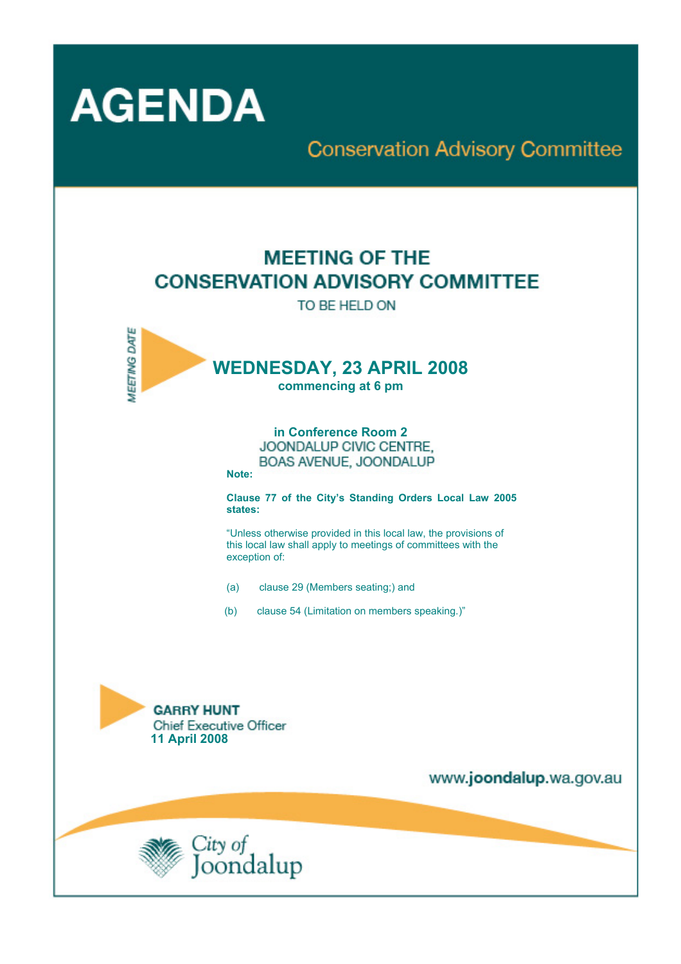

## **Conservation Advisory Committee**

# **MEETING OF THE CONSERVATION ADVISORY COMMITTEE**

TO BE HELD ON



**in Conference Room 2**  BOAS AVENUE, JOONDALUP

**Note:** 

**Clause 77 of the City's Standing Orders Local Law 2005 states:** 

"Unless otherwise provided in this local law, the provisions of this local law shall apply to meetings of committees with the exception of:

- (a) clause 29 (Members seating;) and
- (b) clause 54 (Limitation on members speaking.)"



www.joondalup.wa.gov.au

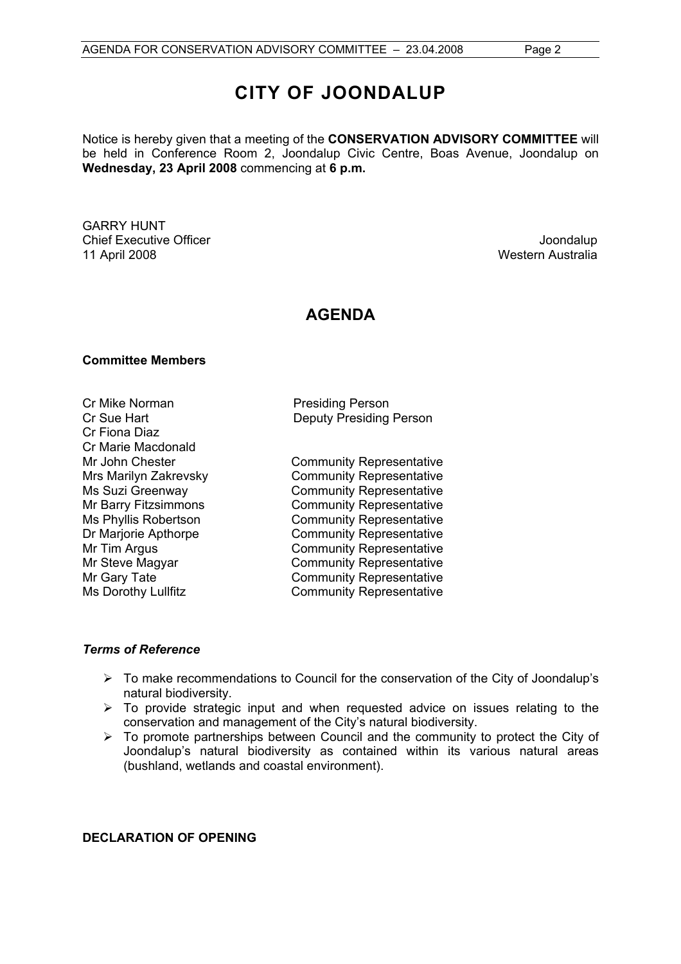Notice is hereby given that a meeting of the **CONSERVATION ADVISORY COMMITTEE** will be held in Conference Room 2, Joondalup Civic Centre, Boas Avenue, Joondalup on **Wednesday, 23 April 2008** commencing at **6 p.m.** 

GARRY HUNT Chief Executive Officer **Joondalup** 11 April 2008 Western Australia

### **AGENDA**

#### **Committee Members**

Cr Mike Norman **Presiding Person** Cr Fiona Diaz Cr Marie Macdonald Mr John Chester **Community Representative** 

Cr Sue Hart Deputy Presiding Person

Mrs Marilyn Zakrevsky Community Representative Ms Suzi Greenway **Community Representative** Mr Barry Fitzsimmons<br>
Ms Phyllis Robertson<br>
Community Representative Community Representative Dr Marjorie Apthorpe Community Representative Mr Tim Argus **Community Representative** Mr Steve Magyar **Community Representative** Mr Gary Tate **Community Representative** Ms Dorothy Lullfitz **Community Representative** 

#### *Terms of Reference*

- $\triangleright$  To make recommendations to Council for the conservation of the City of Joondalup's natural biodiversity.
- $\triangleright$  To provide strategic input and when requested advice on issues relating to the conservation and management of the City's natural biodiversity.
- $\triangleright$  To promote partnerships between Council and the community to protect the City of Joondalup's natural biodiversity as contained within its various natural areas (bushland, wetlands and coastal environment).

#### **DECLARATION OF OPENING**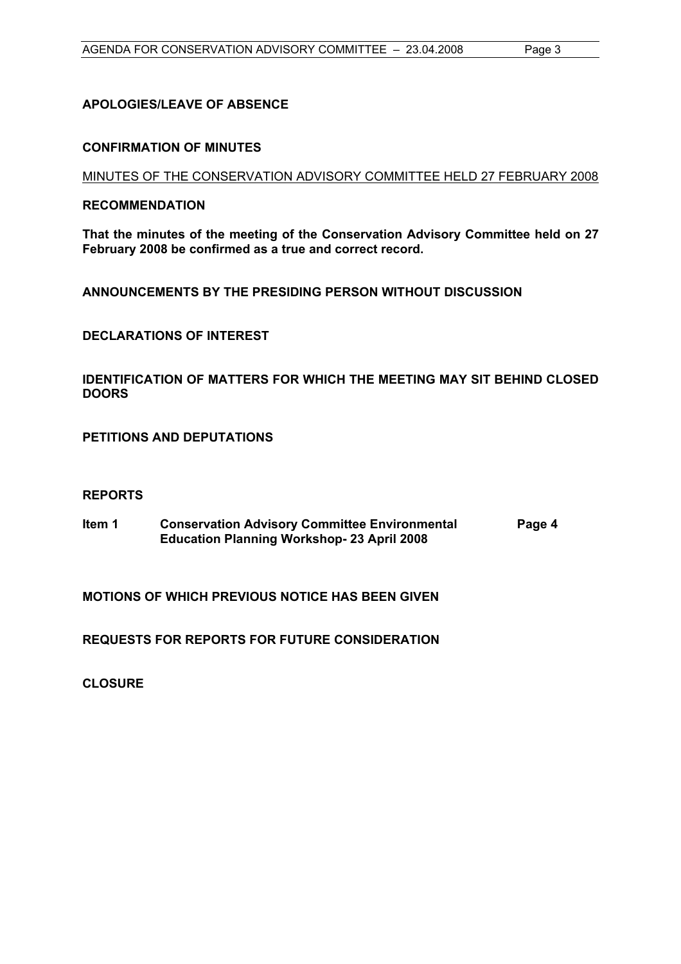#### **APOLOGIES/LEAVE OF ABSENCE**

#### **CONFIRMATION OF MINUTES**

MINUTES OF THE CONSERVATION ADVISORY COMMITTEE HELD 27 FEBRUARY 2008

#### **RECOMMENDATION**

**That the minutes of the meeting of the Conservation Advisory Committee held on 27 February 2008 be confirmed as a true and correct record.** 

**ANNOUNCEMENTS BY THE PRESIDING PERSON WITHOUT DISCUSSION** 

**DECLARATIONS OF INTEREST** 

**IDENTIFICATION OF MATTERS FOR WHICH THE MEETING MAY SIT BEHIND CLOSED DOORS** 

**PETITIONS AND DEPUTATIONS** 

#### **REPORTS**

**Item 1 Conservation Advisory Committee Environmental Education Planning Workshop- 23 April 2008 Page 4** 

**MOTIONS OF WHICH PREVIOUS NOTICE HAS BEEN GIVEN** 

**REQUESTS FOR REPORTS FOR FUTURE CONSIDERATION** 

**CLOSURE**